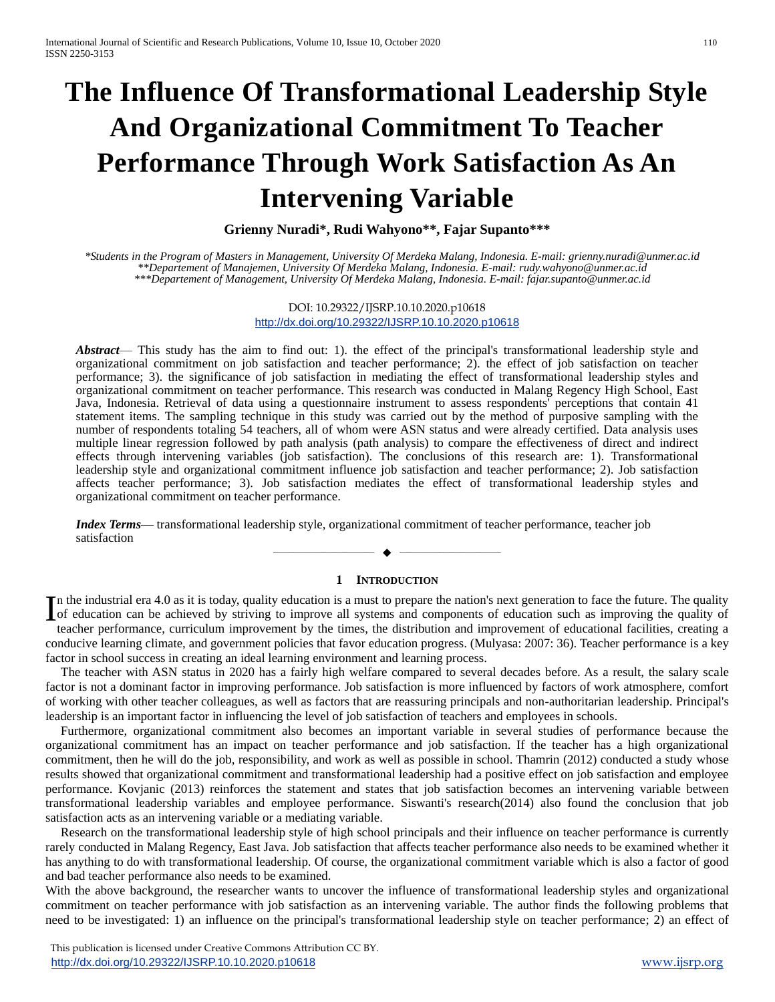# **The Influence Of Transformational Leadership Style And Organizational Commitment To Teacher Performance Through Work Satisfaction As An Intervening Variable**

**Grienny Nuradi\*, Rudi Wahyono\*\*, Fajar Supanto\*\*\***

*\*Students in the Program of Masters in Management, University Of Merdeka Malang, Indonesia. E-mail: grienny.nuradi@unmer.ac.id \*\*Departement of Manajemen, University Of Merdeka Malang, Indonesia. E-mail: rudy.wahyono@unmer.ac.id \*\*\*Departement of Management, University Of Merdeka Malang, Indonesia. E-mail: fajar.supanto@unmer.ac.id*

> DOI: 10.29322/IJSRP.10.10.2020.p10618 <http://dx.doi.org/10.29322/IJSRP.10.10.2020.p10618>

*Abstract*— This study has the aim to find out: 1). the effect of the principal's transformational leadership style and organizational commitment on job satisfaction and teacher performance; 2). the effect of job satisfaction on teacher performance; 3). the significance of job satisfaction in mediating the effect of transformational leadership styles and organizational commitment on teacher performance. This research was conducted in Malang Regency High School, East Java, Indonesia. Retrieval of data using a questionnaire instrument to assess respondents' perceptions that contain 41 statement items. The sampling technique in this study was carried out by the method of purposive sampling with the number of respondents totaling 54 teachers, all of whom were ASN status and were already certified. Data analysis uses multiple linear regression followed by path analysis (path analysis) to compare the effectiveness of direct and indirect effects through intervening variables (job satisfaction). The conclusions of this research are: 1). Transformational leadership style and organizational commitment influence job satisfaction and teacher performance; 2). Job satisfaction affects teacher performance; 3). Job satisfaction mediates the effect of transformational leadership styles and organizational commitment on teacher performance.

*Index Terms*— transformational leadership style, organizational commitment of teacher performance, teacher job satisfaction

## **1 INTRODUCTION**

—————————— ——————————

n the industrial era 4.0 as it is today, quality education is a must to prepare the nation's next generation to face the future. The quality In the industrial era 4.0 as it is today, quality education is a must to prepare the nation's next generation to face the future. The quality of education can be achieved by striving to improve all systems and components o teacher performance, curriculum improvement by the times, the distribution and improvement of educational facilities, creating a conducive learning climate, and government policies that favor education progress. (Mulyasa: 2007: 36). Teacher performance is a key factor in school success in creating an ideal learning environment and learning process.

The teacher with ASN status in 2020 has a fairly high welfare compared to several decades before. As a result, the salary scale factor is not a dominant factor in improving performance. Job satisfaction is more influenced by factors of work atmosphere, comfort of working with other teacher colleagues, as well as factors that are reassuring principals and non-authoritarian leadership. Principal's leadership is an important factor in influencing the level of job satisfaction of teachers and employees in schools.

Furthermore, organizational commitment also becomes an important variable in several studies of performance because the organizational commitment has an impact on teacher performance and job satisfaction. If the teacher has a high organizational commitment, then he will do the job, responsibility, and work as well as possible in school. Thamrin (2012) conducted a study whose results showed that organizational commitment and transformational leadership had a positive effect on job satisfaction and employee performance. Kovjanic (2013) reinforces the statement and states that job satisfaction becomes an intervening variable between transformational leadership variables and employee performance. Siswanti's research(2014) also found the conclusion that job satisfaction acts as an intervening variable or a mediating variable.

Research on the transformational leadership style of high school principals and their influence on teacher performance is currently rarely conducted in Malang Regency, East Java. Job satisfaction that affects teacher performance also needs to be examined whether it has anything to do with transformational leadership. Of course, the organizational commitment variable which is also a factor of good and bad teacher performance also needs to be examined.

With the above background, the researcher wants to uncover the influence of transformational leadership styles and organizational commitment on teacher performance with job satisfaction as an intervening variable. The author finds the following problems that need to be investigated: 1) an influence on the principal's transformational leadership style on teacher performance; 2) an effect of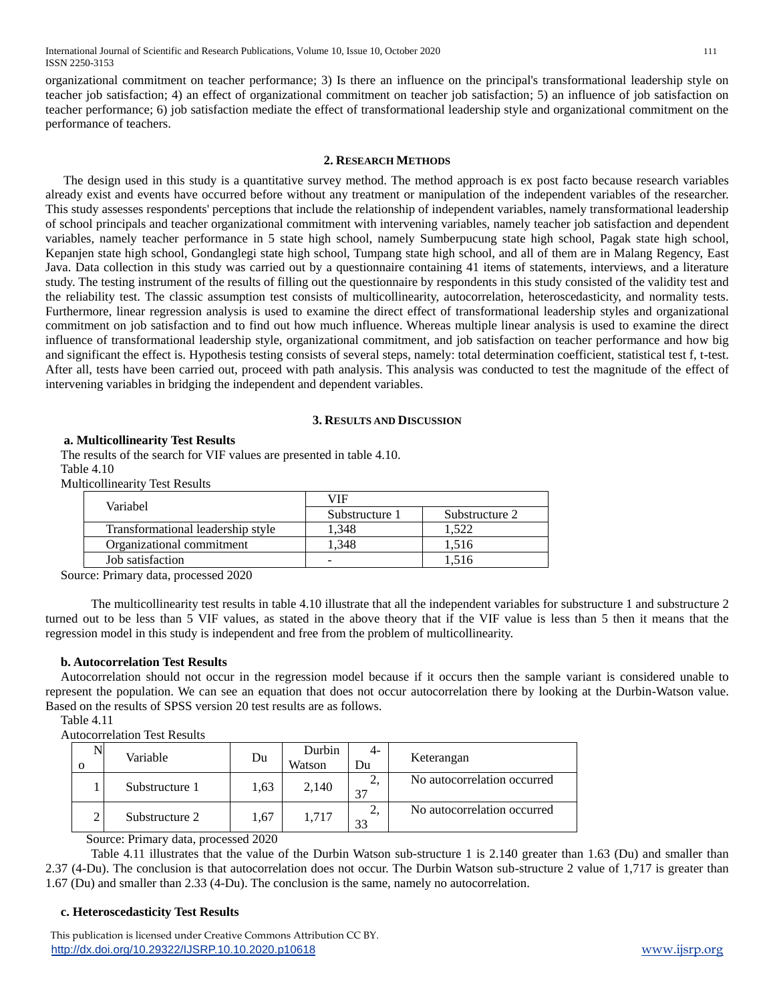International Journal of Scientific and Research Publications, Volume 10, Issue 10, October 2020 111 ISSN 2250-3153

organizational commitment on teacher performance; 3) Is there an influence on the principal's transformational leadership style on teacher job satisfaction; 4) an effect of organizational commitment on teacher job satisfaction; 5) an influence of job satisfaction on teacher performance; 6) job satisfaction mediate the effect of transformational leadership style and organizational commitment on the performance of teachers.

#### **2. RESEARCH METHODS**

The design used in this study is a quantitative survey method. The method approach is ex post facto because research variables already exist and events have occurred before without any treatment or manipulation of the independent variables of the researcher. This study assesses respondents' perceptions that include the relationship of independent variables, namely transformational leadership of school principals and teacher organizational commitment with intervening variables, namely teacher job satisfaction and dependent variables, namely teacher performance in 5 state high school, namely Sumberpucung state high school, Pagak state high school, Kepanjen state high school, Gondanglegi state high school, Tumpang state high school, and all of them are in Malang Regency, East Java. Data collection in this study was carried out by a questionnaire containing 41 items of statements, interviews, and a literature study. The testing instrument of the results of filling out the questionnaire by respondents in this study consisted of the validity test and the reliability test. The classic assumption test consists of multicollinearity, autocorrelation, heteroscedasticity, and normality tests. Furthermore, linear regression analysis is used to examine the direct effect of transformational leadership styles and organizational commitment on job satisfaction and to find out how much influence. Whereas multiple linear analysis is used to examine the direct influence of transformational leadership style, organizational commitment, and job satisfaction on teacher performance and how big and significant the effect is. Hypothesis testing consists of several steps, namely: total determination coefficient, statistical test f, t-test. After all, tests have been carried out, proceed with path analysis. This analysis was conducted to test the magnitude of the effect of intervening variables in bridging the independent and dependent variables.

#### **3. RESULTS AND DISCUSSION**

#### **a. Multicollinearity Test Results**

The results of the search for VIF values are presented in table 4.10. Table 4.10

Multicollinearity Test Results

| Variabel                          | VIF            |                |  |  |
|-----------------------------------|----------------|----------------|--|--|
|                                   | Substructure 1 | Substructure 2 |  |  |
| Transformational leadership style | .348           | -522           |  |  |
| Organizational commitment         | .348           | 1.516          |  |  |
| Job satisfaction                  | -              | 1.516          |  |  |

Source: Primary data, processed 2020

The multicollinearity test results in table 4.10 illustrate that all the independent variables for substructure 1 and substructure 2 turned out to be less than 5 VIF values, as stated in the above theory that if the VIF value is less than 5 then it means that the regression model in this study is independent and free from the problem of multicollinearity.

#### **b. Autocorrelation Test Results**

Autocorrelation should not occur in the regression model because if it occurs then the sample variant is considered unable to represent the population. We can see an equation that does not occur autocorrelation there by looking at the Durbin-Watson value. Based on the results of SPSS version 20 test results are as follows.

Table 4.11

Autocorrelation Test Results

| Variable       | Du   | Durbin<br>Watson | $-4-$<br>Du | Keterangan                  |
|----------------|------|------------------|-------------|-----------------------------|
| Substructure 1 | 1.63 | 2,140            | ∠.<br>37    | No autocorrelation occurred |
| Substructure 2 | 1,67 | 1.717            | ∠.<br>33    | No autocorrelation occurred |

Source: Primary data, processed 2020

Table 4.11 illustrates that the value of the Durbin Watson sub-structure 1 is 2.140 greater than 1.63 (Du) and smaller than 2.37 (4-Du). The conclusion is that autocorrelation does not occur. The Durbin Watson sub-structure 2 value of 1,717 is greater than 1.67 (Du) and smaller than 2.33 (4-Du). The conclusion is the same, namely no autocorrelation.

#### **c. Heteroscedasticity Test Results**

 This publication is licensed under Creative Commons Attribution CC BY. <http://dx.doi.org/10.29322/IJSRP.10.10.2020.p10618> [www.ijsrp.org](http://ijsrp.org/)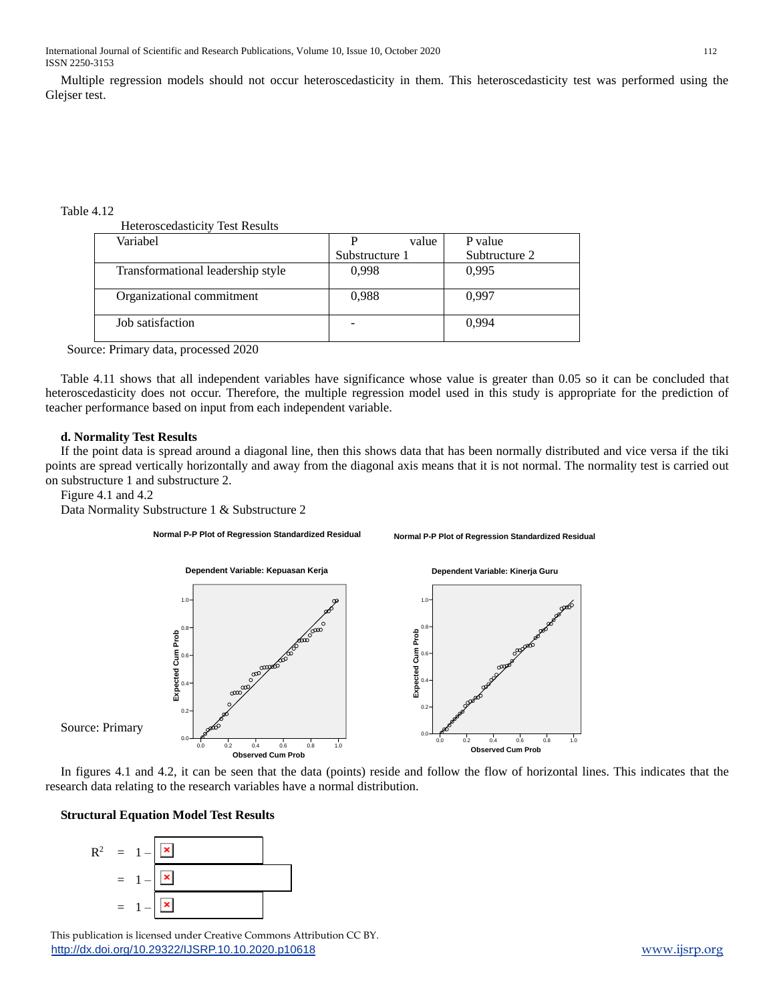Multiple regression models should not occur heteroscedasticity in them. This heteroscedasticity test was performed using the Glejser test.

Table 4.12

| <b>Heteroscedasticity Test Results</b> |  |
|----------------------------------------|--|
|----------------------------------------|--|

| Variabel                          |                | value | P value       |
|-----------------------------------|----------------|-------|---------------|
|                                   | Substructure 1 |       | Subtructure 2 |
| Transformational leadership style | 0,998          |       | 0.995         |
| Organizational commitment         | 0,988          |       | 0.997         |
| Job satisfaction                  |                |       | 0.994         |

Source: Primary data, processed 2020

Table 4.11 shows that all independent variables have significance whose value is greater than 0.05 so it can be concluded that heteroscedasticity does not occur. Therefore, the multiple regression model used in this study is appropriate for the prediction of teacher performance based on input from each independent variable.

## **d. Normality Test Results**

If the point data is spread around a diagonal line, then this shows data that has been normally distributed and vice versa if the tiki points are spread vertically horizontally and away from the diagonal axis means that it is not normal. The normality test is carried out on substructure 1 and substructure 2.

Figure 4.1 and 4.2

Data Normality Substructure 1 & Substructure 2

**Normal P-P Plot of Regression Standardized Residual**

**Normal P-P Plot of Regression Standardized Residual**



In figures 4.1 and 4.2, it can be seen that the data (points) reside and follow the flow of horizontal lines. This indicates that the research data relating to the research variables have a normal distribution.

## **Structural Equation Model Test Results**



 This publication is licensed under Creative Commons Attribution CC BY. <http://dx.doi.org/10.29322/IJSRP.10.10.2020.p10618> [www.ijsrp.org](http://ijsrp.org/)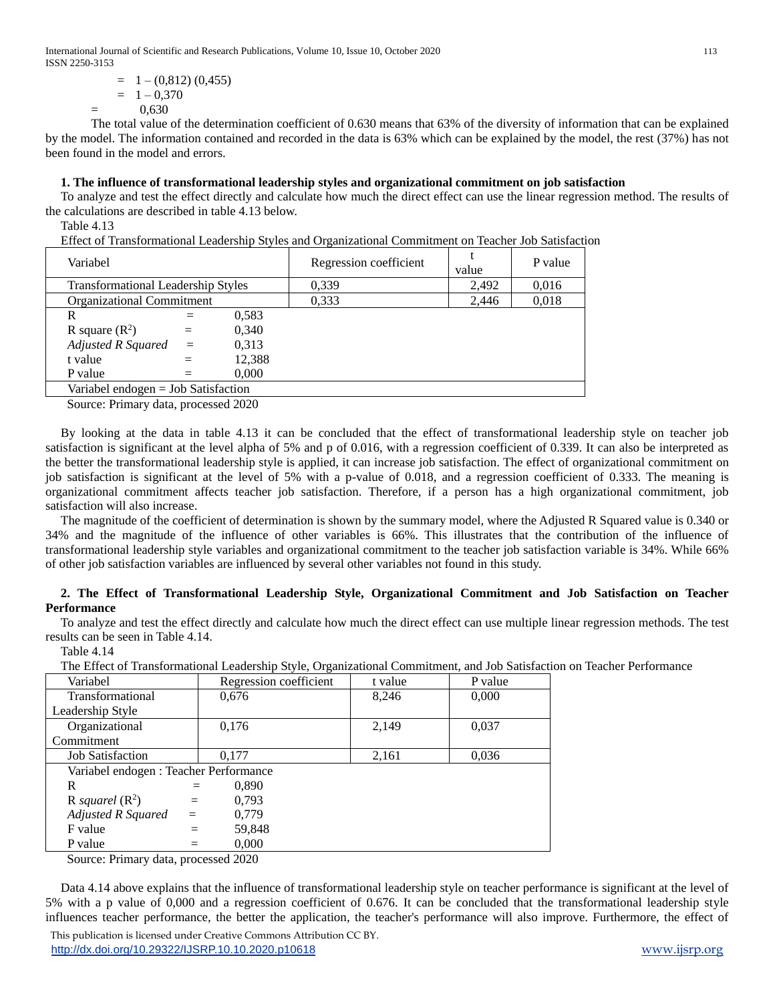International Journal of Scientific and Research Publications, Volume 10, Issue 10, October 2020 113 ISSN 2250-3153

$$
= 1 - (0,812) (0,455)
$$
  
= 1 - 0,370  
= 0,630

The total value of the determination coefficient of 0.630 means that 63% of the diversity of information that can be explained by the model. The information contained and recorded in the data is 63% which can be explained by the model, the rest (37%) has not been found in the model and errors.

## **1. The influence of transformational leadership styles and organizational commitment on job satisfaction**

To analyze and test the effect directly and calculate how much the direct effect can use the linear regression method. The results of the calculations are described in table 4.13 below.

Table 4.13

Effect of Transformational Leadership Styles and Organizational Commitment on Teacher Job Satisfaction

| Variabel                                  |     |        | Regression coefficient | value | P value |
|-------------------------------------------|-----|--------|------------------------|-------|---------|
| <b>Transformational Leadership Styles</b> |     | 0,339  | 2.492                  | 0,016 |         |
| <b>Organizational Commitment</b>          |     |        | 0.333                  | 2.446 | 0,018   |
| R                                         | =   | 0.583  |                        |       |         |
| R square $(R^2)$                          | $=$ | 0,340  |                        |       |         |
| Adjusted R Squared $=$                    |     | 0.313  |                        |       |         |
| t value                                   | $=$ | 12,388 |                        |       |         |
| P value                                   |     | 0,000  |                        |       |         |
| Variabel endogen $=$ Job Satisfaction     |     |        |                        |       |         |

Source: Primary data, processed 2020

By looking at the data in table 4.13 it can be concluded that the effect of transformational leadership style on teacher job satisfaction is significant at the level alpha of 5% and p of 0.016, with a regression coefficient of 0.339. It can also be interpreted as the better the transformational leadership style is applied, it can increase job satisfaction. The effect of organizational commitment on job satisfaction is significant at the level of 5% with a p-value of 0.018, and a regression coefficient of 0.333. The meaning is organizational commitment affects teacher job satisfaction. Therefore, if a person has a high organizational commitment, job satisfaction will also increase.

The magnitude of the coefficient of determination is shown by the summary model, where the Adjusted R Squared value is 0.340 or 34% and the magnitude of the influence of other variables is 66%. This illustrates that the contribution of the influence of transformational leadership style variables and organizational commitment to the teacher job satisfaction variable is 34%. While 66% of other job satisfaction variables are influenced by several other variables not found in this study.

## **2. The Effect of Transformational Leadership Style, Organizational Commitment and Job Satisfaction on Teacher Performance**

To analyze and test the effect directly and calculate how much the direct effect can use multiple linear regression methods. The test results can be seen in Table 4.14.

Table 4.14

The Effect of Transformational Leadership Style, Organizational Commitment, and Job Satisfaction on Teacher Performance

| Regression coefficient                 | t value<br>P value                                                                                         |  |  |  |  |
|----------------------------------------|------------------------------------------------------------------------------------------------------------|--|--|--|--|
|                                        | 0,000                                                                                                      |  |  |  |  |
|                                        |                                                                                                            |  |  |  |  |
|                                        | 0,037                                                                                                      |  |  |  |  |
|                                        |                                                                                                            |  |  |  |  |
|                                        | 0,036                                                                                                      |  |  |  |  |
| Variabel endogen : Teacher Performance |                                                                                                            |  |  |  |  |
|                                        |                                                                                                            |  |  |  |  |
|                                        |                                                                                                            |  |  |  |  |
|                                        |                                                                                                            |  |  |  |  |
|                                        |                                                                                                            |  |  |  |  |
|                                        |                                                                                                            |  |  |  |  |
|                                        | 8,246<br>0,676<br>0,176<br>2,149<br>0,177<br>2,161<br>0,890<br>0.793<br>0.779<br>59,848<br>0,000<br>1.0000 |  |  |  |  |

Source: Primary data, processed 2020

Data 4.14 above explains that the influence of transformational leadership style on teacher performance is significant at the level of 5% with a p value of 0,000 and a regression coefficient of 0.676. It can be concluded that the transformational leadership style influences teacher performance, the better the application, the teacher's performance will also improve. Furthermore, the effect of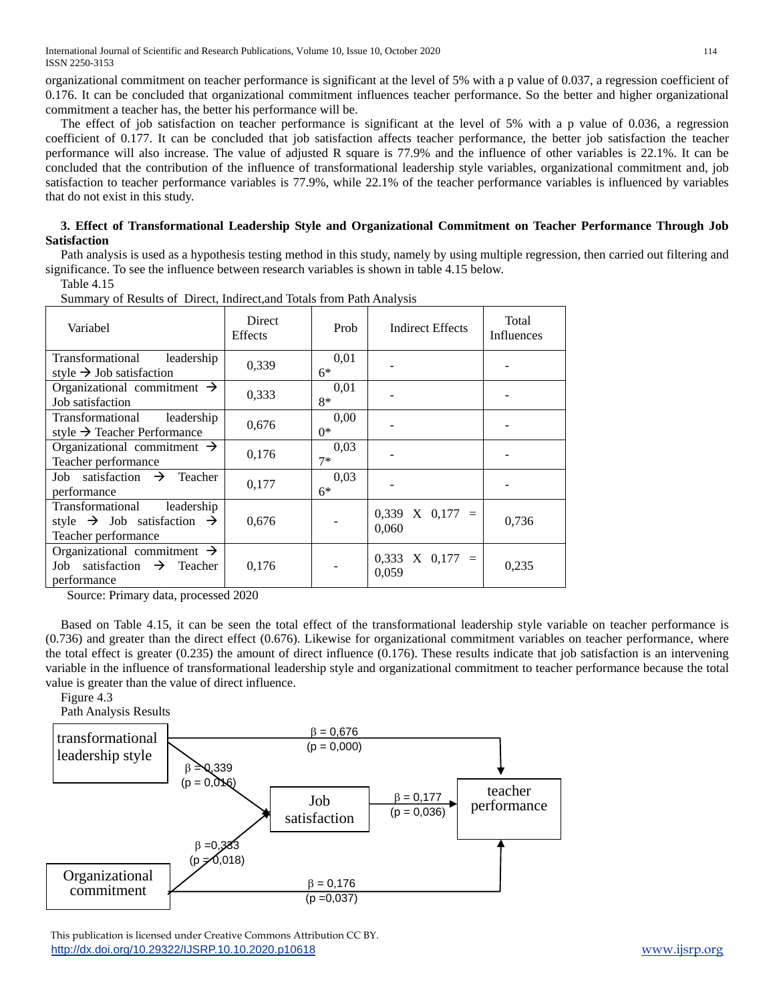International Journal of Scientific and Research Publications, Volume 10, Issue 10, October 2020 114 ISSN 2250-3153

organizational commitment on teacher performance is significant at the level of 5% with a p value of 0.037, a regression coefficient of 0.176. It can be concluded that organizational commitment influences teacher performance. So the better and higher organizational commitment a teacher has, the better his performance will be.

The effect of job satisfaction on teacher performance is significant at the level of 5% with a p value of 0.036, a regression coefficient of 0.177. It can be concluded that job satisfaction affects teacher performance, the better job satisfaction the teacher performance will also increase. The value of adjusted R square is 77.9% and the influence of other variables is 22.1%. It can be concluded that the contribution of the influence of transformational leadership style variables, organizational commitment and, job satisfaction to teacher performance variables is 77.9%, while 22.1% of the teacher performance variables is influenced by variables that do not exist in this study.

## **3. Effect of Transformational Leadership Style and Organizational Commitment on Teacher Performance Through Job Satisfaction**

Path analysis is used as a hypothesis testing method in this study, namely by using multiple regression, then carried out filtering and significance. To see the influence between research variables is shown in table 4.15 below.

Table 4.15

| Variabel                                                                                                    | <b>Direct</b><br><b>Effects</b> | Prob         | <b>Indirect Effects</b>      | Total<br>Influences |
|-------------------------------------------------------------------------------------------------------------|---------------------------------|--------------|------------------------------|---------------------|
| Transformational<br>leadership<br>style $\rightarrow$ Job satisfaction                                      | 0,339                           | 0,01<br>$6*$ |                              |                     |
| Organizational commitment $\rightarrow$<br>Job satisfaction                                                 | 0,333                           | 0,01<br>$8*$ |                              |                     |
| leadership<br>Transformational<br>style $\rightarrow$ Teacher Performance                                   | 0,676                           | 0,00<br>$0*$ |                              |                     |
| Organizational commitment $\rightarrow$<br>Teacher performance                                              | 0,176                           | 0.03<br>$7*$ |                              |                     |
| Job satisfaction $\rightarrow$ Teacher<br>performance                                                       | 0,177                           | 0,03<br>$6*$ |                              |                     |
| Transformational<br>leadership<br>style $\rightarrow$ Job satisfaction $\rightarrow$<br>Teacher performance | 0,676                           |              | $0,339$ X $0,177$ =<br>0,060 | 0,736               |
| Organizational commitment $\rightarrow$<br>Job satisfaction $\rightarrow$ Teacher<br>performance            | 0,176                           |              | $0,333$ X $0,177$ =<br>0,059 | 0,235               |

Summary of Results of Direct, Indirect,and Totals from Path Analysis

Source: Primary data, processed 2020

Based on Table 4.15, it can be seen the total effect of the transformational leadership style variable on teacher performance is (0.736) and greater than the direct effect (0.676). Likewise for organizational commitment variables on teacher performance, where the total effect is greater (0.235) the amount of direct influence (0.176). These results indicate that job satisfaction is an intervening variable in the influence of transformational leadership style and organizational commitment to teacher performance because the total value is greater than the value of direct influence.

Figure 4.3

Path Analysis Results



 This publication is licensed under Creative Commons Attribution CC BY. <http://dx.doi.org/10.29322/IJSRP.10.10.2020.p10618> [www.ijsrp.org](http://ijsrp.org/)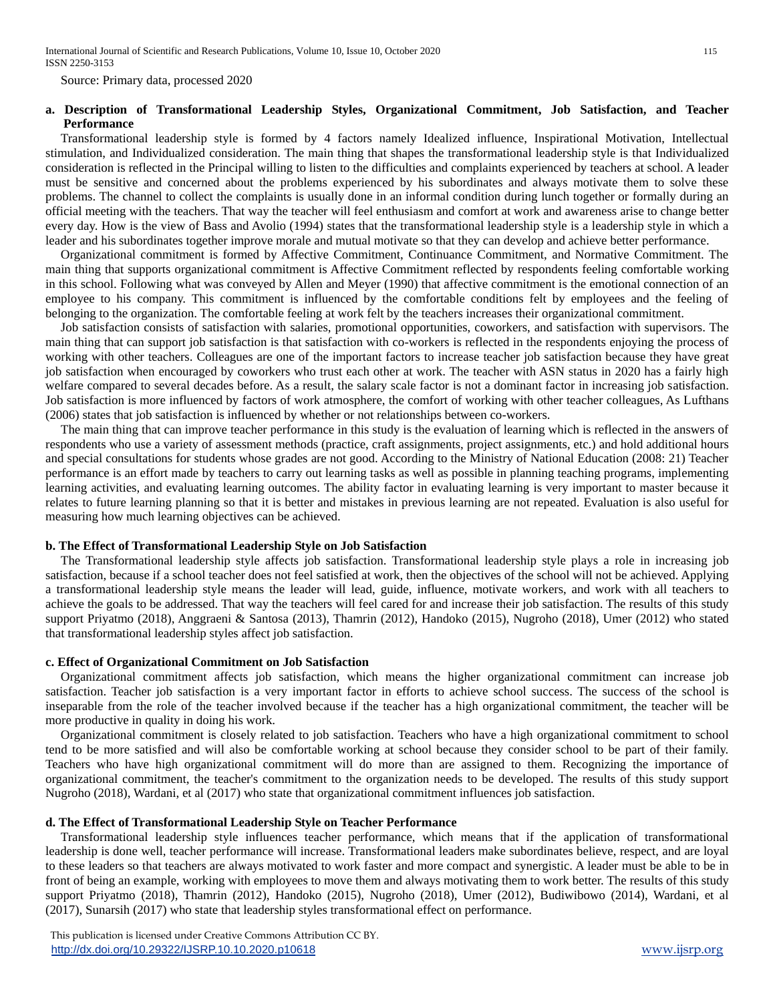Source: Primary data, processed 2020

## **a. Description of Transformational Leadership Styles, Organizational Commitment, Job Satisfaction, and Teacher Performance**

Transformational leadership style is formed by 4 factors namely Idealized influence, Inspirational Motivation, Intellectual stimulation, and Individualized consideration. The main thing that shapes the transformational leadership style is that Individualized consideration is reflected in the Principal willing to listen to the difficulties and complaints experienced by teachers at school. A leader must be sensitive and concerned about the problems experienced by his subordinates and always motivate them to solve these problems. The channel to collect the complaints is usually done in an informal condition during lunch together or formally during an official meeting with the teachers. That way the teacher will feel enthusiasm and comfort at work and awareness arise to change better every day. How is the view of Bass and Avolio (1994) states that the transformational leadership style is a leadership style in which a leader and his subordinates together improve morale and mutual motivate so that they can develop and achieve better performance.

Organizational commitment is formed by Affective Commitment, Continuance Commitment, and Normative Commitment. The main thing that supports organizational commitment is Affective Commitment reflected by respondents feeling comfortable working in this school. Following what was conveyed by Allen and Meyer (1990) that affective commitment is the emotional connection of an employee to his company. This commitment is influenced by the comfortable conditions felt by employees and the feeling of belonging to the organization. The comfortable feeling at work felt by the teachers increases their organizational commitment.

Job satisfaction consists of satisfaction with salaries, promotional opportunities, coworkers, and satisfaction with supervisors. The main thing that can support job satisfaction is that satisfaction with co-workers is reflected in the respondents enjoying the process of working with other teachers. Colleagues are one of the important factors to increase teacher job satisfaction because they have great job satisfaction when encouraged by coworkers who trust each other at work. The teacher with ASN status in 2020 has a fairly high welfare compared to several decades before. As a result, the salary scale factor is not a dominant factor in increasing job satisfaction. Job satisfaction is more influenced by factors of work atmosphere, the comfort of working with other teacher colleagues, As Lufthans (2006) states that job satisfaction is influenced by whether or not relationships between co-workers.

The main thing that can improve teacher performance in this study is the evaluation of learning which is reflected in the answers of respondents who use a variety of assessment methods (practice, craft assignments, project assignments, etc.) and hold additional hours and special consultations for students whose grades are not good. According to the Ministry of National Education (2008: 21) Teacher performance is an effort made by teachers to carry out learning tasks as well as possible in planning teaching programs, implementing learning activities, and evaluating learning outcomes. The ability factor in evaluating learning is very important to master because it relates to future learning planning so that it is better and mistakes in previous learning are not repeated. Evaluation is also useful for measuring how much learning objectives can be achieved.

#### **b. The Effect of Transformational Leadership Style on Job Satisfaction**

The Transformational leadership style affects job satisfaction. Transformational leadership style plays a role in increasing job satisfaction, because if a school teacher does not feel satisfied at work, then the objectives of the school will not be achieved. Applying a transformational leadership style means the leader will lead, guide, influence, motivate workers, and work with all teachers to achieve the goals to be addressed. That way the teachers will feel cared for and increase their job satisfaction. The results of this study support Priyatmo (2018), Anggraeni & Santosa (2013), Thamrin (2012), Handoko (2015), Nugroho (2018), Umer (2012) who stated that transformational leadership styles affect job satisfaction.

#### **c. Effect of Organizational Commitment on Job Satisfaction**

Organizational commitment affects job satisfaction, which means the higher organizational commitment can increase job satisfaction. Teacher job satisfaction is a very important factor in efforts to achieve school success. The success of the school is inseparable from the role of the teacher involved because if the teacher has a high organizational commitment, the teacher will be more productive in quality in doing his work.

Organizational commitment is closely related to job satisfaction. Teachers who have a high organizational commitment to school tend to be more satisfied and will also be comfortable working at school because they consider school to be part of their family. Teachers who have high organizational commitment will do more than are assigned to them. Recognizing the importance of organizational commitment, the teacher's commitment to the organization needs to be developed. The results of this study support Nugroho (2018), Wardani, et al (2017) who state that organizational commitment influences job satisfaction.

## **d. The Effect of Transformational Leadership Style on Teacher Performance**

Transformational leadership style influences teacher performance, which means that if the application of transformational leadership is done well, teacher performance will increase. Transformational leaders make subordinates believe, respect, and are loyal to these leaders so that teachers are always motivated to work faster and more compact and synergistic. A leader must be able to be in front of being an example, working with employees to move them and always motivating them to work better. The results of this study support Priyatmo (2018), Thamrin (2012), Handoko (2015), Nugroho (2018), Umer (2012), Budiwibowo (2014), Wardani, et al (2017), Sunarsih (2017) who state that leadership styles transformational effect on performance.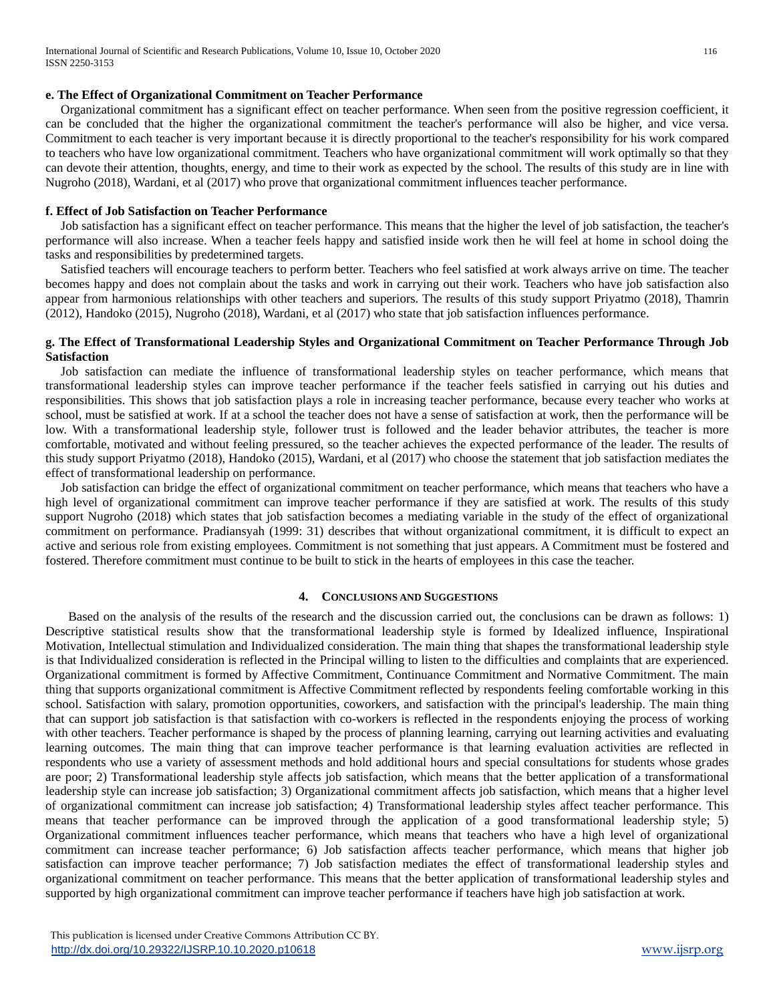## **e. The Effect of Organizational Commitment on Teacher Performance**

Organizational commitment has a significant effect on teacher performance. When seen from the positive regression coefficient, it can be concluded that the higher the organizational commitment the teacher's performance will also be higher, and vice versa. Commitment to each teacher is very important because it is directly proportional to the teacher's responsibility for his work compared to teachers who have low organizational commitment. Teachers who have organizational commitment will work optimally so that they can devote their attention, thoughts, energy, and time to their work as expected by the school. The results of this study are in line with Nugroho (2018), Wardani, et al (2017) who prove that organizational commitment influences teacher performance.

#### **f. Effect of Job Satisfaction on Teacher Performance**

Job satisfaction has a significant effect on teacher performance. This means that the higher the level of job satisfaction, the teacher's performance will also increase. When a teacher feels happy and satisfied inside work then he will feel at home in school doing the tasks and responsibilities by predetermined targets.

Satisfied teachers will encourage teachers to perform better. Teachers who feel satisfied at work always arrive on time. The teacher becomes happy and does not complain about the tasks and work in carrying out their work. Teachers who have job satisfaction also appear from harmonious relationships with other teachers and superiors. The results of this study support Priyatmo (2018), Thamrin (2012), Handoko (2015), Nugroho (2018), Wardani, et al (2017) who state that job satisfaction influences performance.

## **g. The Effect of Transformational Leadership Styles and Organizational Commitment on Teacher Performance Through Job Satisfaction**

Job satisfaction can mediate the influence of transformational leadership styles on teacher performance, which means that transformational leadership styles can improve teacher performance if the teacher feels satisfied in carrying out his duties and responsibilities. This shows that job satisfaction plays a role in increasing teacher performance, because every teacher who works at school, must be satisfied at work. If at a school the teacher does not have a sense of satisfaction at work, then the performance will be low. With a transformational leadership style, follower trust is followed and the leader behavior attributes, the teacher is more comfortable, motivated and without feeling pressured, so the teacher achieves the expected performance of the leader. The results of this study support Priyatmo (2018), Handoko (2015), Wardani, et al (2017) who choose the statement that job satisfaction mediates the effect of transformational leadership on performance.

Job satisfaction can bridge the effect of organizational commitment on teacher performance, which means that teachers who have a high level of organizational commitment can improve teacher performance if they are satisfied at work. The results of this study support Nugroho (2018) which states that job satisfaction becomes a mediating variable in the study of the effect of organizational commitment on performance. Pradiansyah (1999: 31) describes that without organizational commitment, it is difficult to expect an active and serious role from existing employees. Commitment is not something that just appears. A Commitment must be fostered and fostered. Therefore commitment must continue to be built to stick in the hearts of employees in this case the teacher.

#### **4. CONCLUSIONS AND SUGGESTIONS**

Based on the analysis of the results of the research and the discussion carried out, the conclusions can be drawn as follows: 1) Descriptive statistical results show that the transformational leadership style is formed by Idealized influence, Inspirational Motivation, Intellectual stimulation and Individualized consideration. The main thing that shapes the transformational leadership style is that Individualized consideration is reflected in the Principal willing to listen to the difficulties and complaints that are experienced. Organizational commitment is formed by Affective Commitment, Continuance Commitment and Normative Commitment. The main thing that supports organizational commitment is Affective Commitment reflected by respondents feeling comfortable working in this school. Satisfaction with salary, promotion opportunities, coworkers, and satisfaction with the principal's leadership. The main thing that can support job satisfaction is that satisfaction with co-workers is reflected in the respondents enjoying the process of working with other teachers. Teacher performance is shaped by the process of planning learning, carrying out learning activities and evaluating learning outcomes. The main thing that can improve teacher performance is that learning evaluation activities are reflected in respondents who use a variety of assessment methods and hold additional hours and special consultations for students whose grades are poor; 2) Transformational leadership style affects job satisfaction, which means that the better application of a transformational leadership style can increase job satisfaction; 3) Organizational commitment affects job satisfaction, which means that a higher level of organizational commitment can increase job satisfaction; 4) Transformational leadership styles affect teacher performance. This means that teacher performance can be improved through the application of a good transformational leadership style; 5) Organizational commitment influences teacher performance, which means that teachers who have a high level of organizational commitment can increase teacher performance; 6) Job satisfaction affects teacher performance, which means that higher job satisfaction can improve teacher performance; 7) Job satisfaction mediates the effect of transformational leadership styles and organizational commitment on teacher performance. This means that the better application of transformational leadership styles and supported by high organizational commitment can improve teacher performance if teachers have high job satisfaction at work.